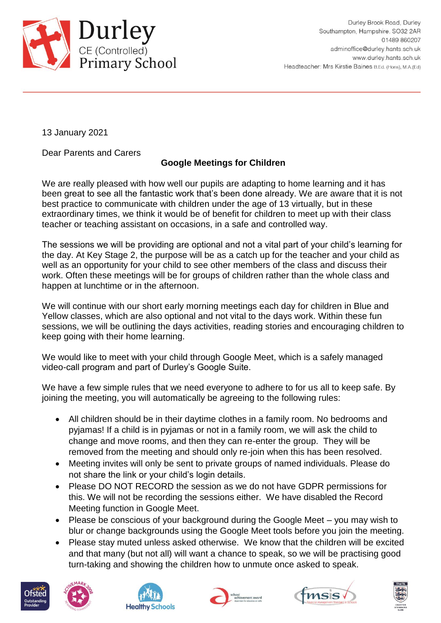

13 January 2021

Dear Parents and Carers

## **Google Meetings for Children**

We are really pleased with how well our pupils are adapting to home learning and it has been great to see all the fantastic work that's been done already. We are aware that it is not best practice to communicate with children under the age of 13 virtually, but in these extraordinary times, we think it would be of benefit for children to meet up with their class teacher or teaching assistant on occasions, in a safe and controlled way.

The sessions we will be providing are optional and not a vital part of your child's learning for the day. At Key Stage 2, the purpose will be as a catch up for the teacher and your child as well as an opportunity for your child to see other members of the class and discuss their work. Often these meetings will be for groups of children rather than the whole class and happen at lunchtime or in the afternoon.

We will continue with our short early morning meetings each day for children in Blue and Yellow classes, which are also optional and not vital to the days work. Within these fun sessions, we will be outlining the days activities, reading stories and encouraging children to keep going with their home learning.

We would like to meet with your child through Google Meet, which is a safely managed video-call program and part of Durley's Google Suite.

We have a few simple rules that we need everyone to adhere to for us all to keep safe. By joining the meeting, you will automatically be agreeing to the following rules:

- All children should be in their daytime clothes in a family room. No bedrooms and pyjamas! If a child is in pyjamas or not in a family room, we will ask the child to change and move rooms, and then they can re-enter the group. They will be removed from the meeting and should only re-join when this has been resolved.
- Meeting invites will only be sent to private groups of named individuals. Please do not share the link or your child's login details.
- Please DO NOT RECORD the session as we do not have GDPR permissions for this. We will not be recording the sessions either. We have disabled the Record Meeting function in Google Meet.
- Please be conscious of your background during the Google Meet you may wish to blur or change backgrounds using the Google Meet tools before you join the meeting.
- Please stay muted unless asked otherwise. We know that the children will be excited and that many (but not all) will want a chance to speak, so we will be practising good turn-taking and showing the children how to unmute once asked to speak.